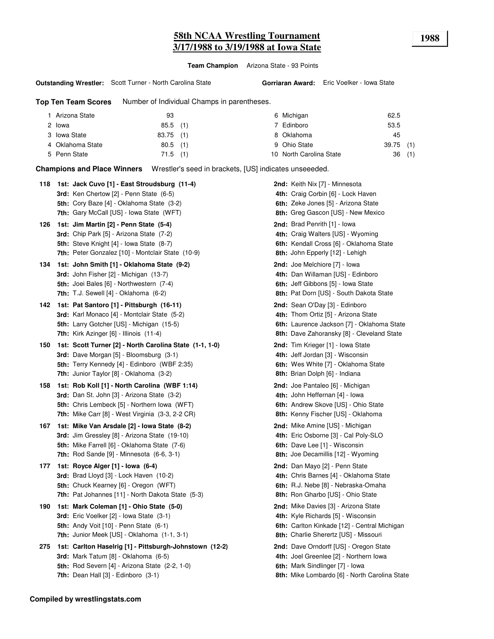# **58th NCAA Wrestling Tournament 1988 3/17/1988 to 3/19/1988 at Iowa State**

**Team Champion** Arizona State - 93 Points

**Outstanding Wrestler:** Scott Turner - North Carolina State

**Top Ten Team Scores** Number of Individual Champs in parentheses.

| Arizona State<br>93       |            | 6 Michigan              | 62.5        |       |
|---------------------------|------------|-------------------------|-------------|-------|
| 2 lowa                    | $85.5$ (1) | 7 Edinboro              | 53.5        |       |
| 3 Iowa State<br>83.75 (1) |            | 8 Oklahoma              | 45          |       |
| 4 Oklahoma State          | $80.5$ (1) | 9 Ohio State            | $39.75$ (1) |       |
| 5 Penn State              | $71.5$ (1) | 10 North Carolina State |             | 36(1) |
|                           |            |                         |             |       |

**Champions and Place Winners** Wrestler's seed in brackets, [US] indicates unseeeded.

| 118 | 1st: Jack Cuvo [1] - East Stroudsburg (11-4)<br><b>3rd:</b> Ken Chertow [2] - Penn State (6-5)<br>5th: Cory Baze [4] - Oklahoma State (3-2)<br>7th: Gary McCall [US] - Iowa State (WFT)                        | <b>2nd:</b> Keith Nix [7] - Minnesota<br>4th: Craig Corbin [6] - Lock Haven<br>6th: Zeke Jones [5] - Arizona State<br>8th: Greg Gascon [US] - New Mexico                    |
|-----|----------------------------------------------------------------------------------------------------------------------------------------------------------------------------------------------------------------|-----------------------------------------------------------------------------------------------------------------------------------------------------------------------------|
| 126 | 1st: Jim Martin [2] - Penn State (5-4)<br><b>3rd:</b> Chip Park [5] - Arizona State (7-2)<br><b>5th:</b> Steve Knight [4] - Iowa State (8-7)<br>7th: Peter Gonzalez [10] - Montclair State (10-9)              | <b>2nd:</b> Brad Penrith [1] - lowa<br>4th: Craig Walters [US] - Wyoming<br>6th: Kendall Cross [6] - Oklahoma State<br>8th: John Epperly [12] - Lehigh                      |
| 134 | 1st: John Smith [1] - Oklahoma State (9-2)<br><b>3rd:</b> John Fisher [2] - Michigan (13-7)<br>5th: Joei Bales [6] - Northwestern (7-4)<br>7th: T.J. Sewell [4] - Oklahoma (6-2)                               | <b>2nd:</b> Joe Melchiore [7] - Iowa<br>4th: Dan Willaman [US] - Edinboro<br>6th: Jeff Gibbons [5] - Iowa State<br>8th: Pat Dorn [US] - South Dakota State                  |
| 142 | 1st: Pat Santoro [1] - Pittsburgh (16-11)<br><b>3rd:</b> Karl Monaco [4] - Montclair State (5-2)<br>5th: Larry Gotcher [US] - Michigan (15-5)<br>7th: Kirk Azinger [6] - Illinois (11-4)                       | 2nd: Sean O'Day [3] - Edinboro<br>4th: Thom Ortiz [5] - Arizona State<br>6th: Laurence Jackson [7] - Oklahoma State<br>8th: Dave Zahoransky [8] - Cleveland State           |
| 150 | 1st: Scott Turner [2] - North Carolina State (1-1, 1-0)<br>3rd: Dave Morgan [5] - Bloomsburg (3-1)<br>5th: Terry Kennedy [4] - Edinboro (WBF 2:35)<br>7th: Junior Taylor [8] - Oklahoma (3-2)                  | <b>2nd:</b> Tim Krieger [1] - Iowa State<br>4th: Jeff Jordan [3] - Wisconsin<br>6th: Wes White [7] - Oklahoma State<br>8th: Brian Dolph [6] - Indiana                       |
| 158 | 1st: Rob Koll [1] - North Carolina (WBF 1:14)<br><b>3rd:</b> Dan St. John [3] - Arizona State (3-2)<br>5th: Chris Lembeck [5] - Northern Iowa (WFT)<br><b>7th:</b> Mike Carr [8] - West Virginia (3-3, 2-2 CR) | <b>2nd:</b> Joe Pantaleo [6] - Michigan<br>4th: John Heffernan [4] - Iowa<br>6th: Andrew Skove [US] - Ohio State<br>8th: Kenny Fischer [US] - Oklahoma                      |
| 167 | 1st: Mike Van Arsdale [2] - Iowa State (8-2)<br>3rd: Jim Gressley [8] - Arizona State (19-10)<br>5th: Mike Farrell [6] - Oklahoma State (7-6)<br><b>7th:</b> Rod Sande $[9]$ - Minnesota $(6-6, 3-1)$          | <b>2nd:</b> Mike Amine [US] - Michigan<br>4th: Eric Osborne [3] - Cal Poly-SLO<br>6th: Dave Lee [1] - Wisconsin<br>8th: Joe Decamillis [12] - Wyoming                       |
| 177 | 1st: Royce Alger [1] - Iowa (6-4)<br><b>3rd:</b> Brad Lloyd [3] - Lock Haven (10-2)<br>5th: Chuck Kearney [6] - Oregon (WFT)<br>7th: Pat Johannes [11] - North Dakota State (5-3)                              | <b>2nd:</b> Dan Mayo [2] - Penn State<br>4th: Chris Barnes [4] - Oklahoma State<br>6th: R.J. Nebe [8] - Nebraska-Omaha<br>8th: Ron Gharbo [US] - Ohio State                 |
| 190 | 1st: Mark Coleman [1] - Ohio State (5-0)<br>3rd: Eric Voelker [2] - Iowa State (3-1)<br><b>5th: Andy Voit [10] - Penn State (6-1)</b><br>7th: Junior Meek [US] - Oklahoma (1-1, 3-1)                           | <b>2nd:</b> Mike Davies [3] - Arizona State<br>4th: Kyle Richards [5] - Wisconsin<br>6th: Carlton Kinkade [12] - Central Michigan<br>8th: Charlie Sherertz [US] - Missouri  |
| 275 | 1st: Carlton Haselrig [1] - Pittsburgh-Johnstown (12-2)<br>3rd: Mark Tatum [8] - Oklahoma (6-5)<br>5th: Rod Severn [4] - Arizona State (2-2, 1-0)<br><b>7th:</b> Dean Hall $[3]$ - Edinboro $(3-1)$            | 2nd: Dave Orndorff [US] - Oregon State<br>4th: Joel Greenlee [2] - Northern Iowa<br><b>6th:</b> Mark Sindlinger [7] - Iowa<br>8th: Mike Lombardo [6] - North Carolina State |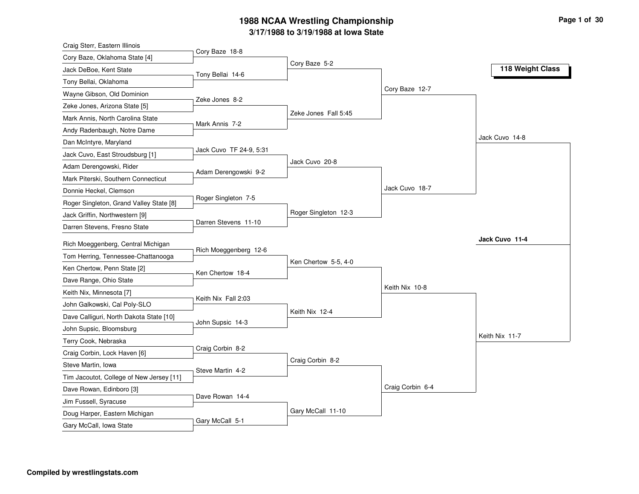| Craig Sterr, Eastern Illinois            |                         |                      |                  |                  |
|------------------------------------------|-------------------------|----------------------|------------------|------------------|
| Cory Baze, Oklahoma State [4]            | Cory Baze 18-8          |                      |                  |                  |
| Jack DeBoe, Kent State                   | Tony Bellai 14-6        | Cory Baze 5-2        |                  | 118 Weight Class |
| Tony Bellai, Oklahoma                    |                         |                      |                  |                  |
| Wayne Gibson, Old Dominion               |                         |                      | Cory Baze 12-7   |                  |
| Zeke Jones, Arizona State [5]            | Zeke Jones 8-2          |                      |                  |                  |
| Mark Annis, North Carolina State         |                         | Zeke Jones Fall 5:45 |                  |                  |
| Andy Radenbaugh, Notre Dame              | Mark Annis 7-2          |                      |                  |                  |
| Dan McIntyre, Maryland                   |                         |                      |                  | Jack Cuvo 14-8   |
| Jack Cuvo, East Stroudsburg [1]          | Jack Cuvo TF 24-9, 5:31 |                      |                  |                  |
| Adam Derengowski, Rider                  |                         | Jack Cuvo 20-8       |                  |                  |
| Mark Piterski, Southern Connecticut      | Adam Derengowski 9-2    |                      |                  |                  |
| Donnie Heckel, Clemson                   |                         |                      | Jack Cuvo 18-7   |                  |
| Roger Singleton, Grand Valley State [8]  | Roger Singleton 7-5     |                      |                  |                  |
| Jack Griffin, Northwestern [9]           |                         | Roger Singleton 12-3 |                  |                  |
| Darren Stevens, Fresno State             | Darren Stevens 11-10    |                      |                  |                  |
| Rich Moeggenberg, Central Michigan       |                         |                      |                  | Jack Cuvo 11-4   |
| Tom Herring, Tennessee-Chattanooga       | Rich Moeggenberg 12-6   |                      |                  |                  |
| Ken Chertow, Penn State [2]              |                         | Ken Chertow 5-5, 4-0 |                  |                  |
| Dave Range, Ohio State                   | Ken Chertow 18-4        |                      |                  |                  |
| Keith Nix, Minnesota [7]                 |                         |                      | Keith Nix 10-8   |                  |
| John Galkowski, Cal Poly-SLO             | Keith Nix Fall 2:03     |                      |                  |                  |
| Dave Calliguri, North Dakota State [10]  |                         | Keith Nix 12-4       |                  |                  |
| John Supsic, Bloomsburg                  | John Supsic 14-3        |                      |                  |                  |
| Terry Cook, Nebraska                     |                         |                      |                  | Keith Nix 11-7   |
| Craig Corbin, Lock Haven [6]             | Craig Corbin 8-2        |                      |                  |                  |
| Steve Martin, Iowa                       |                         | Craig Corbin 8-2     |                  |                  |
| Tim Jacoutot, College of New Jersey [11] | Steve Martin 4-2        |                      |                  |                  |
| Dave Rowan, Edinboro [3]                 |                         |                      | Craig Corbin 6-4 |                  |
| Jim Fussell, Syracuse                    | Dave Rowan 14-4         |                      |                  |                  |
| Doug Harper, Eastern Michigan            |                         | Gary McCall 11-10    |                  |                  |
| Gary McCall, Iowa State                  | Gary McCall 5-1         |                      |                  |                  |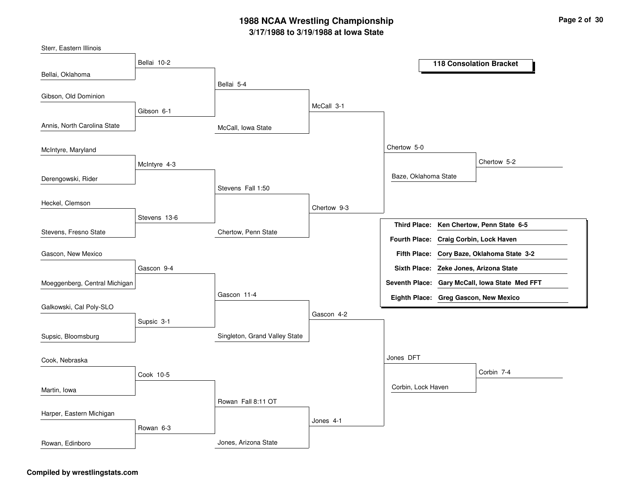McCall, Iowa StateChertow, Penn StateSingleton, Grand Valley StateJones, Arizona StateBellai 5-4Stevens Fall 1:50Gascon 11-4Rowan Fall 8:11 OTMcCall 3-1Chertow 9-3Gascon 4-2Jones 4-1Chertow 5-0Jones DFTBaze, Oklahoma StateCorbin, Lock HavenChertow 5-2Corbin 7-4Bellai 10-2Gibson 6-1McIntyre 4-3Stevens 13-6Gascon 9-4Supsic 3-1Cook 10-5Rowan 6-3Bellai, OklahomaAnnis, North Carolina StateDerengowski, RiderStevens, Fresno StateSterr, Eastern IllinoisGibson, Old DominionMcIntyre, MarylandHeckel, ClemsonMoeggenberg, Central MichiganGascon, New MexicoGalkowski, Cal Poly-SLOSupsic, BloomsburgMartin, IowaCook, NebraskaHarper, Eastern MichiganRowan, Edinboro**118 Consolation BracketKen Chertow, Penn State 6-5Third Place:Cory Baze, Oklahoma State 3-2Fifth Place:Seventh Place: Gary McCall, Iowa State Med FFTEighth Place: Greg Gascon, New MexicoFourth Place: Craig Corbin, Lock HavenSixth Place: Zeke Jones, Arizona State**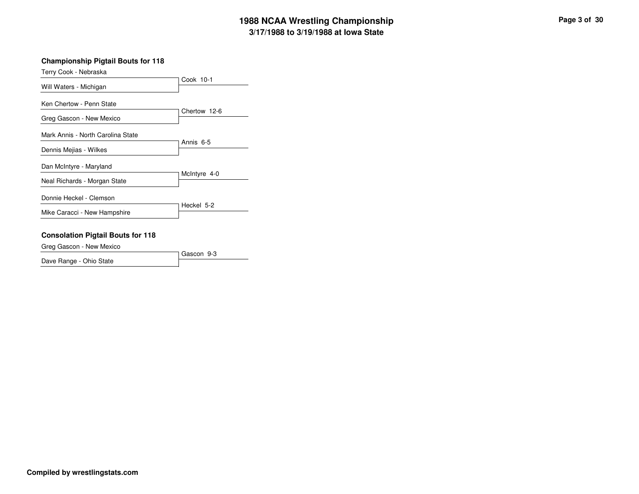### **Championship Pigtail Bouts for 118**

| Terry Cook - Nebraska             |              |
|-----------------------------------|--------------|
| Will Waters - Michigan            | Cook 10-1    |
| Ken Chertow - Penn State          |              |
| Greg Gascon - New Mexico          | Chertow 12-6 |
| Mark Annis - North Carolina State |              |
| Dennis Mejias - Wilkes            | Annis 6-5    |
| Dan McIntyre - Maryland           |              |
| Neal Richards - Morgan State      | McIntyre 4-0 |
| Donnie Heckel - Clemson           |              |
| Mike Caracci - New Hampshire      | Heckel 5-2   |

### **Consolation Pigtail Bouts for 118**

Greg Gascon - New Mexico

|                         | Gascon 9-3 |
|-------------------------|------------|
| Dave Range - Ohio State |            |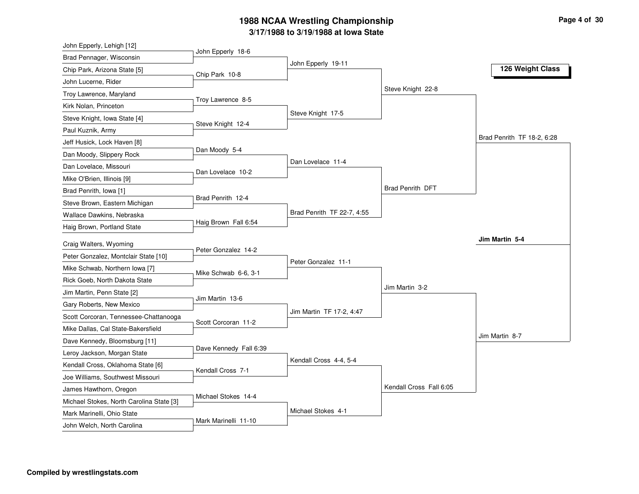| John Epperly, Lehigh [12]                                              |                        |                            |                         |                            |
|------------------------------------------------------------------------|------------------------|----------------------------|-------------------------|----------------------------|
| Brad Pennager, Wisconsin                                               | John Epperly 18-6      |                            |                         |                            |
| Chip Park, Arizona State [5]                                           | Chip Park 10-8         | John Epperly 19-11         |                         | 126 Weight Class           |
| John Lucerne, Rider                                                    |                        |                            |                         |                            |
| Troy Lawrence, Maryland                                                |                        |                            | Steve Knight 22-8       |                            |
| Kirk Nolan, Princeton                                                  | Troy Lawrence 8-5      |                            |                         |                            |
| Steve Knight, Iowa State [4]                                           |                        | Steve Knight 17-5          |                         |                            |
| Paul Kuznik, Army                                                      | Steve Knight 12-4      |                            |                         |                            |
| Jeff Husick, Lock Haven [8]                                            |                        |                            |                         | Brad Penrith TF 18-2, 6:28 |
| Dan Moody, Slippery Rock                                               | Dan Moody 5-4          |                            |                         |                            |
| Dan Lovelace, Missouri                                                 | Dan Lovelace 10-2      | Dan Lovelace 11-4          |                         |                            |
| Mike O'Brien, Illinois [9]                                             |                        |                            |                         |                            |
| Brad Penrith, Iowa [1]                                                 |                        |                            | <b>Brad Penrith DFT</b> |                            |
| Steve Brown, Eastern Michigan                                          | Brad Penrith 12-4      |                            |                         |                            |
| Wallace Dawkins, Nebraska                                              |                        | Brad Penrith TF 22-7, 4:55 |                         |                            |
| Haig Brown, Portland State                                             | Haig Brown Fall 6:54   |                            |                         |                            |
|                                                                        |                        |                            |                         |                            |
|                                                                        |                        |                            |                         | Jim Martin 5-4             |
| Craig Walters, Wyoming                                                 | Peter Gonzalez 14-2    |                            |                         |                            |
| Peter Gonzalez, Montclair State [10]                                   |                        | Peter Gonzalez 11-1        |                         |                            |
| Mike Schwab, Northern Iowa [7]                                         | Mike Schwab 6-6, 3-1   |                            |                         |                            |
| Rick Goeb, North Dakota State                                          |                        |                            | Jim Martin 3-2          |                            |
| Jim Martin, Penn State [2]                                             | Jim Martin 13-6        |                            |                         |                            |
| Gary Roberts, New Mexico                                               |                        | Jim Martin TF 17-2, 4:47   |                         |                            |
| Scott Corcoran, Tennessee-Chattanooga                                  | Scott Corcoran 11-2    |                            |                         |                            |
| Mike Dallas, Cal State-Bakersfield                                     |                        |                            |                         | Jim Martin 8-7             |
| Dave Kennedy, Bloomsburg [11]                                          | Dave Kennedy Fall 6:39 |                            |                         |                            |
| Leroy Jackson, Morgan State                                            |                        | Kendall Cross 4-4, 5-4     |                         |                            |
| Kendall Cross, Oklahoma State [6]                                      | Kendall Cross 7-1      |                            |                         |                            |
| Joe Williams, Southwest Missouri                                       |                        |                            | Kendall Cross Fall 6:05 |                            |
| James Hawthorn, Oregon                                                 | Michael Stokes 14-4    |                            |                         |                            |
| Michael Stokes, North Carolina State [3]<br>Mark Marinelli, Ohio State |                        | Michael Stokes 4-1         |                         |                            |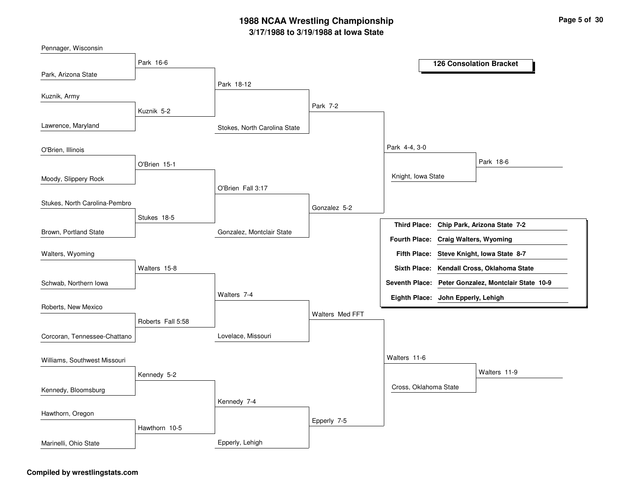Stokes, North Carolina StateGonzalez, Montclair StateLovelace, MissouriEpperly, LehighPark 18-12O'Brien Fall 3:17Walters 7-4Kennedy 7-4Park 7-2Gonzalez 5-2Walters Med FFTEpperly 7-5Park 4-4, 3-0Walters 11-6Knight, Iowa StateCross, Oklahoma StatePark 18-6Walters 11-9Park 16-6Kuznik 5-2O'Brien 15-1Stukes 18-5Walters 15-8Roberts Fall 5:58Kennedy 5-2Hawthorn 10-5Park, Arizona StateLawrence, MarylandMoody, Slippery RockBrown, Portland StatePennager, WisconsinKuznik, ArmyO'Brien, IllinoisStukes, North Carolina-PembroSchwab, Northern IowaWalters, WyomingRoberts, New MexicoCorcoran, Tennessee-ChattanoKennedy, BloomsburgWilliams, Southwest MissouriHawthorn, OregonMarinelli, Ohio State**126 Consolation BracketChip Park, Arizona State 7-2Third Place:Steve Knight, Iowa State 8-7Fifth Place:Seventh Place: Peter Gonzalez, Montclair State 10-9Eighth Place: John Epperly, LehighFourth Place: Craig Walters, WyomingSixth Place: Kendall Cross, Oklahoma State**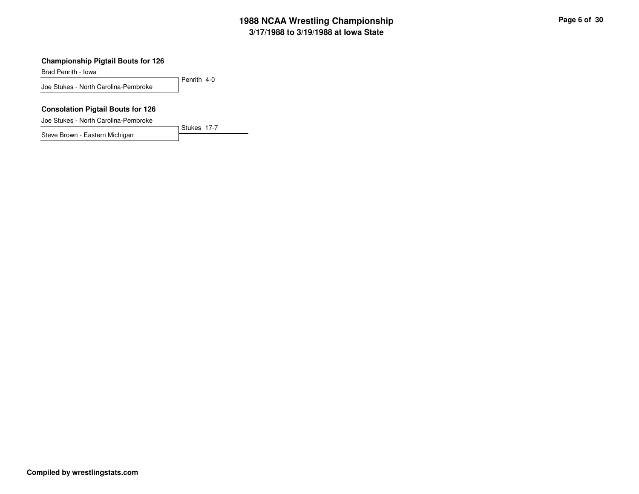### **Championship Pigtail Bouts for 126**

Brad Penrith - Iowa

Penrith 4-0Joe Stukes - North Carolina-Pembroke

Stukes 17-7

#### **Consolation Pigtail Bouts for 126**

Joe Stukes - North Carolina-Pembroke

Steve Brown - Eastern Michigan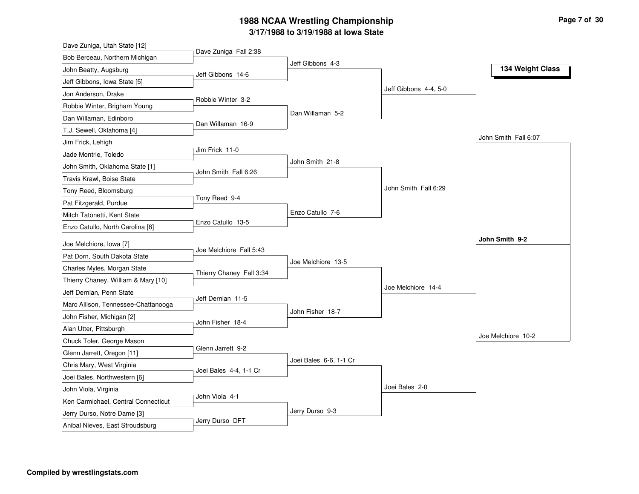| Dave Zuniga, Utah State [12]                                       |                          |                        |                       |                      |
|--------------------------------------------------------------------|--------------------------|------------------------|-----------------------|----------------------|
| Bob Berceau, Northern Michigan                                     | Dave Zuniga Fall 2:38    |                        |                       |                      |
| John Beatty, Augsburg                                              | Jeff Gibbons 14-6        | Jeff Gibbons 4-3       |                       | 134 Weight Class     |
| Jeff Gibbons, Iowa State [5]                                       |                          |                        |                       |                      |
| Jon Anderson, Drake                                                |                          |                        | Jeff Gibbons 4-4, 5-0 |                      |
| Robbie Winter, Brigham Young                                       | Robbie Winter 3-2        |                        |                       |                      |
| Dan Willaman, Edinboro                                             |                          | Dan Willaman 5-2       |                       |                      |
| T.J. Sewell, Oklahoma [4]                                          | Dan Willaman 16-9        |                        |                       |                      |
| Jim Frick, Lehigh                                                  |                          |                        |                       | John Smith Fall 6:07 |
| Jade Montrie, Toledo                                               | Jim Frick 11-0           |                        |                       |                      |
| John Smith, Oklahoma State [1]                                     |                          | John Smith 21-8        |                       |                      |
| Travis Krawl, Boise State                                          | John Smith Fall 6:26     |                        |                       |                      |
| Tony Reed, Bloomsburg                                              |                          |                        | John Smith Fall 6:29  |                      |
| Pat Fitzgerald, Purdue                                             | Tony Reed 9-4            |                        |                       |                      |
| Mitch Tatonetti, Kent State                                        |                          | Enzo Catullo 7-6       |                       |                      |
| Enzo Catullo, North Carolina [8]                                   | Enzo Catullo 13-5        |                        |                       |                      |
| Joe Melchiore, Iowa [7]                                            |                          |                        |                       | John Smith 9-2       |
| Pat Dorn, South Dakota State                                       | Joe Melchiore Fall 5:43  |                        |                       |                      |
|                                                                    |                          | Joe Melchiore 13-5     |                       |                      |
| Charles Myles, Morgan State<br>Thierry Chaney, William & Mary [10] | Thierry Chaney Fall 3:34 |                        |                       |                      |
| Jeff Dernlan, Penn State                                           |                          |                        | Joe Melchiore 14-4    |                      |
|                                                                    | Jeff Dernlan 11-5        |                        |                       |                      |
| Marc Allison, Tennessee-Chattanooga                                |                          | John Fisher 18-7       |                       |                      |
| John Fisher, Michigan [2]                                          | John Fisher 18-4         |                        |                       |                      |
| Alan Utter, Pittsburgh                                             |                          |                        |                       | Joe Melchiore 10-2   |
| Chuck Toler, George Mason                                          | Glenn Jarrett 9-2        |                        |                       |                      |
| Glenn Jarrett, Oregon [11]                                         |                          | Joei Bales 6-6, 1-1 Cr |                       |                      |
| Chris Mary, West Virginia                                          | Joei Bales 4-4, 1-1 Cr   |                        |                       |                      |
| Joei Bales, Northwestern [6]                                       |                          |                        | Joei Bales 2-0        |                      |
| John Viola, Virginia                                               | John Viola 4-1           |                        |                       |                      |
| Ken Carmichael, Central Connecticut                                |                          | Jerry Durso 9-3        |                       |                      |
| Jerry Durso, Notre Dame [3]                                        | Jerry Durso DFT          |                        |                       |                      |
| Anibal Nieves, East Stroudsburg                                    |                          |                        |                       |                      |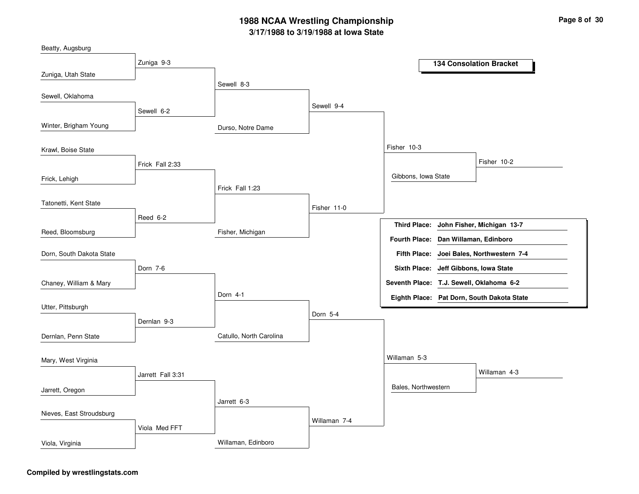| Beatty, Augsburg         |                   |                         |              |                                                             |                                            |
|--------------------------|-------------------|-------------------------|--------------|-------------------------------------------------------------|--------------------------------------------|
|                          | Zuniga 9-3        |                         |              |                                                             | <b>134 Consolation Bracket</b>             |
| Zuniga, Utah State       |                   |                         |              |                                                             |                                            |
|                          |                   | Sewell 8-3              |              |                                                             |                                            |
| Sewell, Oklahoma         |                   |                         | Sewell 9-4   |                                                             |                                            |
|                          | Sewell 6-2        |                         |              |                                                             |                                            |
| Winter, Brigham Young    |                   | Durso, Notre Dame       |              |                                                             |                                            |
| Krawl, Boise State       |                   |                         |              | Fisher 10-3                                                 |                                            |
|                          | Frick Fall 2:33   |                         |              |                                                             | Fisher 10-2                                |
| Frick, Lehigh            |                   |                         |              | Gibbons, Iowa State                                         |                                            |
|                          |                   | Frick Fall 1:23         |              |                                                             |                                            |
| Tatonetti, Kent State    |                   |                         | Fisher 11-0  |                                                             |                                            |
|                          | Reed 6-2          |                         |              |                                                             |                                            |
| Reed, Bloomsburg         |                   | Fisher, Michigan        |              | <b>Third Place:</b><br>Fourth Place: Dan Willaman, Edinboro | John Fisher, Michigan 13-7                 |
| Dorn, South Dakota State |                   |                         |              | <b>Fifth Place:</b>                                         | Joei Bales, Northwestern 7-4               |
|                          | Dorn 7-6          |                         |              | <b>Sixth Place:</b>                                         | Jeff Gibbons, Iowa State                   |
| Chaney, William & Mary   |                   |                         |              | Seventh Place: T.J. Sewell, Oklahoma 6-2                    |                                            |
|                          |                   | Dorn 4-1                |              |                                                             | Eighth Place: Pat Dorn, South Dakota State |
| Utter, Pittsburgh        |                   |                         |              |                                                             |                                            |
|                          | Dernlan 9-3       |                         | Dorn 5-4     |                                                             |                                            |
| Dernlan, Penn State      |                   | Catullo, North Carolina |              |                                                             |                                            |
| Mary, West Virginia      |                   |                         |              | Willaman 5-3                                                |                                            |
|                          |                   |                         |              |                                                             | Willaman 4-3                               |
|                          | Jarrett Fall 3:31 |                         |              |                                                             |                                            |
| Jarrett, Oregon          |                   |                         |              | Bales, Northwestern                                         |                                            |
|                          |                   | Jarrett 6-3             |              |                                                             |                                            |
| Nieves, East Stroudsburg |                   |                         | Willaman 7-4 |                                                             |                                            |
|                          | Viola Med FFT     |                         |              |                                                             |                                            |
| Viola, Virginia          |                   | Willaman, Edinboro      |              |                                                             |                                            |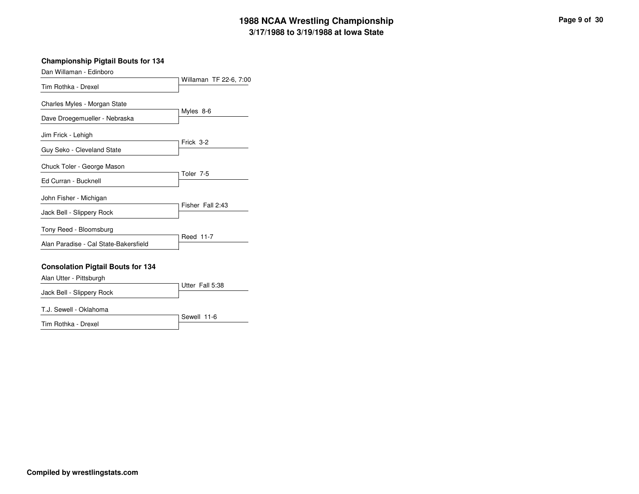### **Championship Pigtail Bouts for 134**

Dan Willaman - Edinboro

| Tim Rothka - Drexel                   | Willaman TF 22-6, 7:00 |
|---------------------------------------|------------------------|
| Charles Myles - Morgan State          |                        |
| Dave Droegemueller - Nebraska         | Myles 8-6              |
| Jim Frick - Lehigh                    |                        |
| Guy Seko - Cleveland State            | Frick 3-2              |
| Chuck Toler - George Mason            | Toler <sub>7-5</sub>   |
| Ed Curran - Bucknell                  |                        |
| John Fisher - Michigan                |                        |
| Jack Bell - Slippery Rock             | Fisher Fall 2:43       |
| Tony Reed - Bloomsburg                |                        |
| Alan Paradise - Cal State-Bakersfield | Reed 11-7              |

### **Consolation Pigtail Bouts for 134**

Alan Utter - Pittsburgh

|                           | Utter Fall 5:38 |
|---------------------------|-----------------|
| Jack Bell - Slippery Rock |                 |
|                           |                 |

T.J. Sewell - Oklahoma

Tim Rothka - Drexel

Sewell 11-6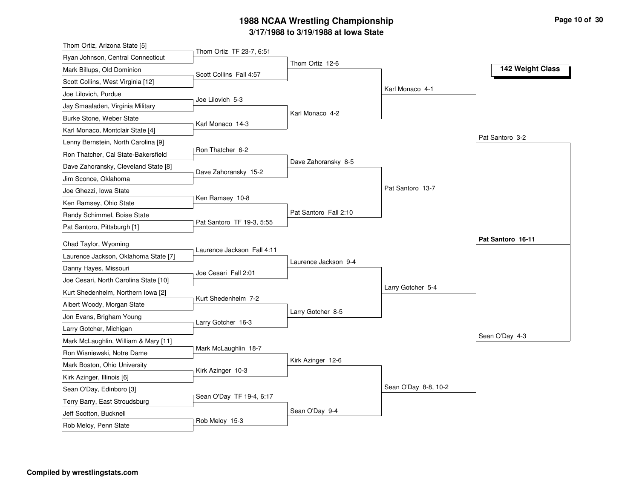| Thom Ortiz, Arizona State [5]                           |                            |                       |                      |                   |
|---------------------------------------------------------|----------------------------|-----------------------|----------------------|-------------------|
| Ryan Johnson, Central Connecticut                       | Thom Ortiz TF 23-7, 6:51   |                       |                      |                   |
| Mark Billups, Old Dominion                              | Scott Collins Fall 4:57    | Thom Ortiz 12-6       |                      | 142 Weight Class  |
| Scott Collins, West Virginia [12]                       |                            |                       |                      |                   |
| Joe Lilovich, Purdue                                    |                            |                       | Karl Monaco 4-1      |                   |
| Jay Smaaladen, Virginia Military                        | Joe Lilovich 5-3           |                       |                      |                   |
| Burke Stone, Weber State                                |                            | Karl Monaco 4-2       |                      |                   |
| Karl Monaco, Montclair State [4]                        | Karl Monaco 14-3           |                       |                      |                   |
| Lenny Bernstein, North Carolina [9]                     |                            |                       |                      | Pat Santoro 3-2   |
| Ron Thatcher, Cal State-Bakersfield                     | Ron Thatcher 6-2           |                       |                      |                   |
| Dave Zahoransky, Cleveland State [8]                    |                            | Dave Zahoransky 8-5   |                      |                   |
| Jim Sconce, Oklahoma                                    | Dave Zahoransky 15-2       |                       |                      |                   |
| Joe Ghezzi, Iowa State                                  |                            |                       | Pat Santoro 13-7     |                   |
| Ken Ramsey, Ohio State                                  | Ken Ramsey 10-8            |                       |                      |                   |
| Randy Schimmel, Boise State                             |                            | Pat Santoro Fall 2:10 |                      |                   |
| Pat Santoro, Pittsburgh [1]                             | Pat Santoro TF 19-3, 5:55  |                       |                      |                   |
| Chad Taylor, Wyoming                                    |                            |                       |                      | Pat Santoro 16-11 |
| Laurence Jackson, Oklahoma State [7]                    | Laurence Jackson Fall 4:11 |                       |                      |                   |
| Danny Hayes, Missouri                                   |                            | Laurence Jackson 9-4  |                      |                   |
| Joe Cesari, North Carolina State [10]                   | Joe Cesari Fall 2:01       |                       |                      |                   |
| Kurt Shedenhelm, Northern Iowa [2]                      |                            |                       | Larry Gotcher 5-4    |                   |
| Albert Woody, Morgan State                              | Kurt Shedenhelm 7-2        |                       |                      |                   |
| Jon Evans, Brigham Young                                |                            | Larry Gotcher 8-5     |                      |                   |
| Larry Gotcher, Michigan                                 | Larry Gotcher 16-3         |                       |                      |                   |
| Mark McLaughlin, William & Mary [11]                    |                            |                       |                      | Sean O'Day 4-3    |
| Ron Wisniewski, Notre Dame                              | Mark McLaughlin 18-7       |                       |                      |                   |
| Mark Boston, Ohio University                            |                            | Kirk Azinger 12-6     |                      |                   |
| Kirk Azinger, Illinois [6]                              | Kirk Azinger 10-3          |                       |                      |                   |
| Sean O'Day, Edinboro [3]                                |                            |                       |                      |                   |
|                                                         |                            |                       |                      |                   |
|                                                         | Sean O'Day TF 19-4, 6:17   |                       | Sean O'Day 8-8, 10-2 |                   |
| Terry Barry, East Stroudsburg<br>Jeff Scotton, Bucknell |                            | Sean O'Day 9-4        |                      |                   |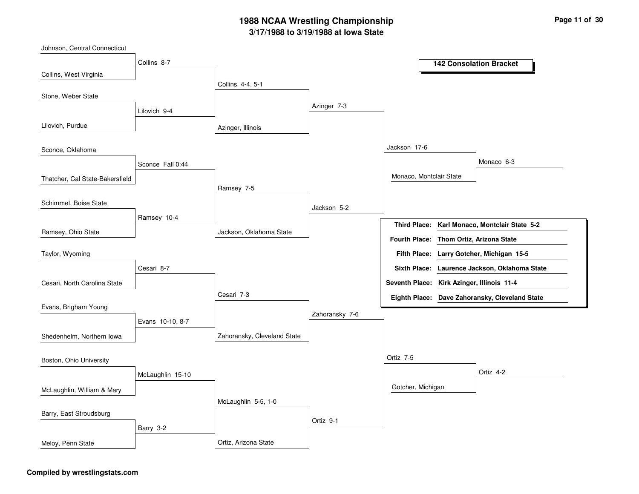| Johnson, Central Connecticut    |                  |                             |                |                                            |                                                |
|---------------------------------|------------------|-----------------------------|----------------|--------------------------------------------|------------------------------------------------|
|                                 | Collins 8-7      |                             |                |                                            | <b>142 Consolation Bracket</b>                 |
| Collins, West Virginia          |                  | Collins 4-4, 5-1            |                |                                            |                                                |
| Stone, Weber State              |                  |                             |                |                                            |                                                |
|                                 | Lilovich 9-4     |                             | Azinger 7-3    |                                            |                                                |
| Lilovich, Purdue                |                  | Azinger, Illinois           |                |                                            |                                                |
| Sconce, Oklahoma                |                  |                             |                | Jackson 17-6                               |                                                |
|                                 | Sconce Fall 0:44 |                             |                |                                            | Monaco 6-3                                     |
| Thatcher, Cal State-Bakersfield |                  |                             |                | Monaco, Montclair State                    |                                                |
|                                 |                  | Ramsey 7-5                  |                |                                            |                                                |
| Schimmel, Boise State           |                  |                             | Jackson 5-2    |                                            |                                                |
|                                 | Ramsey 10-4      |                             |                | <b>Third Place:</b>                        | Karl Monaco, Montclair State 5-2               |
| Ramsey, Ohio State              |                  | Jackson, Oklahoma State     |                | Fourth Place: Thom Ortiz, Arizona State    |                                                |
| Taylor, Wyoming                 |                  |                             |                |                                            | Fifth Place: Larry Gotcher, Michigan 15-5      |
|                                 | Cesari 8-7       |                             |                |                                            | Sixth Place: Laurence Jackson, Oklahoma State  |
| Cesari, North Carolina State    |                  |                             |                | Seventh Place: Kirk Azinger, Illinois 11-4 |                                                |
|                                 |                  | Cesari 7-3                  |                |                                            | Eighth Place: Dave Zahoransky, Cleveland State |
| Evans, Brigham Young            |                  |                             | Zahoransky 7-6 |                                            |                                                |
|                                 | Evans 10-10, 8-7 |                             |                |                                            |                                                |
| Shedenhelm, Northern lowa       |                  | Zahoransky, Cleveland State |                |                                            |                                                |
| Boston, Ohio University         |                  |                             |                | Ortiz 7-5                                  |                                                |
|                                 | McLaughlin 15-10 |                             |                |                                            | Ortiz 4-2                                      |
| McLaughlin, William & Mary      |                  |                             |                | Gotcher, Michigan                          |                                                |
|                                 |                  | McLaughlin 5-5, 1-0         |                |                                            |                                                |
| Barry, East Stroudsburg         |                  |                             | Ortiz 9-1      |                                            |                                                |
|                                 | Barry 3-2        |                             |                |                                            |                                                |
| Meloy, Penn State               |                  | Ortiz. Arizona State        |                |                                            |                                                |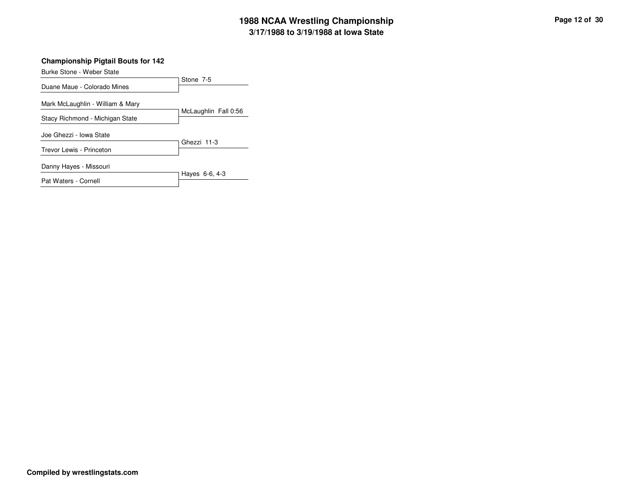### **Championship Pigtail Bouts for 142**

| Burke Stone - Weber State        |                      |
|----------------------------------|----------------------|
|                                  | Stone 7-5            |
| Duane Maue - Colorado Mines      |                      |
| Mark McLaughlin - William & Mary |                      |
| Stacy Richmond - Michigan State  | McLaughlin Fall 0:56 |
| Joe Ghezzi - Iowa State          |                      |
| Trevor Lewis - Princeton         | Ghezzi 11-3          |
| Danny Hayes - Missouri           |                      |
| Pat Waters - Cornell             | Hayes 6-6, 4-3       |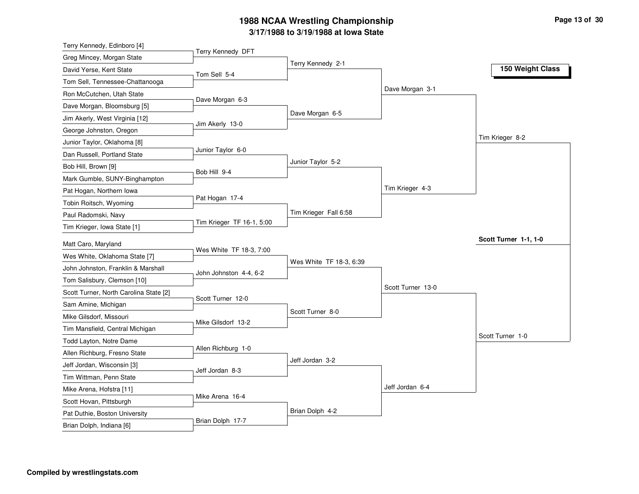| Terry Kennedy, Edinboro [4]            |                           |                         |                   |                       |
|----------------------------------------|---------------------------|-------------------------|-------------------|-----------------------|
| Greg Mincey, Morgan State              | Terry Kennedy DFT         |                         |                   |                       |
| David Yerse, Kent State                | Tom Sell 5-4              | Terry Kennedy 2-1       |                   | 150 Weight Class      |
| Tom Sell, Tennessee-Chattanooga        |                           |                         |                   |                       |
| Ron McCutchen, Utah State              |                           |                         | Dave Morgan 3-1   |                       |
| Dave Morgan, Bloomsburg [5]            | Dave Morgan 6-3           |                         |                   |                       |
| Jim Akerly, West Virginia [12]         |                           | Dave Morgan 6-5         |                   |                       |
| George Johnston, Oregon                | Jim Akerly 13-0           |                         |                   |                       |
| Junior Taylor, Oklahoma [8]            |                           |                         |                   | Tim Krieger 8-2       |
| Dan Russell, Portland State            | Junior Taylor 6-0         |                         |                   |                       |
| Bob Hill, Brown [9]                    | Bob Hill 9-4              | Junior Taylor 5-2       |                   |                       |
| Mark Gumble, SUNY-Binghampton          |                           |                         |                   |                       |
| Pat Hogan, Northern Iowa               |                           |                         | Tim Krieger 4-3   |                       |
| Tobin Roitsch, Wyoming                 | Pat Hogan 17-4            |                         |                   |                       |
| Paul Radomski, Navy                    |                           | Tim Krieger Fall 6:58   |                   |                       |
| Tim Krieger, Iowa State [1]            | Tim Krieger TF 16-1, 5:00 |                         |                   |                       |
| Matt Caro, Maryland                    |                           |                         |                   | Scott Turner 1-1, 1-0 |
| Wes White, Oklahoma State [7]          | Wes White TF 18-3, 7:00   |                         |                   |                       |
| John Johnston, Franklin & Marshall     |                           | Wes White TF 18-3, 6:39 |                   |                       |
| Tom Salisbury, Clemson [10]            | John Johnston 4-4, 6-2    |                         |                   |                       |
| Scott Turner, North Carolina State [2] |                           |                         | Scott Turner 13-0 |                       |
| Sam Amine, Michigan                    | Scott Turner 12-0         |                         |                   |                       |
| Mike Gilsdorf, Missouri                |                           | Scott Turner 8-0        |                   |                       |
| Tim Mansfield, Central Michigan        | Mike Gilsdorf 13-2        |                         |                   |                       |
| Todd Layton, Notre Dame                |                           |                         |                   | Scott Turner 1-0      |
| Allen Richburg, Fresno State           | Allen Richburg 1-0        |                         |                   |                       |
| Jeff Jordan, Wisconsin [3]             |                           | Jeff Jordan 3-2         |                   |                       |
| Tim Wittman, Penn State                | Jeff Jordan 8-3           |                         |                   |                       |
| Mike Arena, Hofstra [11]               |                           |                         | Jeff Jordan 6-4   |                       |
| Scott Hovan, Pittsburgh                |                           |                         |                   |                       |
|                                        | Mike Arena 16-4           |                         |                   |                       |
| Pat Duthie, Boston University          |                           | Brian Dolph 4-2         |                   |                       |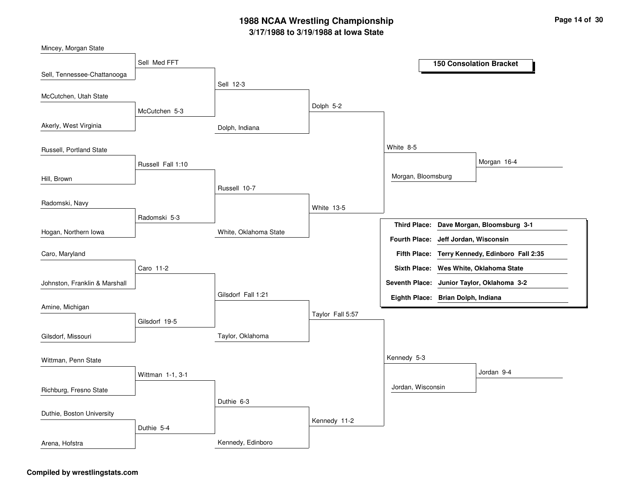| Mincey, Morgan State          |                   |                       |                  |                                    |                        |                                                |
|-------------------------------|-------------------|-----------------------|------------------|------------------------------------|------------------------|------------------------------------------------|
|                               | Sell Med FFT      |                       |                  |                                    |                        | <b>150 Consolation Bracket</b>                 |
| Sell, Tennessee-Chattanooga   |                   |                       |                  |                                    |                        |                                                |
|                               |                   | Sell 12-3             |                  |                                    |                        |                                                |
| McCutchen, Utah State         |                   |                       | Dolph 5-2        |                                    |                        |                                                |
|                               | McCutchen 5-3     |                       |                  |                                    |                        |                                                |
| Akerly, West Virginia         |                   | Dolph, Indiana        |                  |                                    |                        |                                                |
|                               |                   |                       |                  |                                    |                        |                                                |
| Russell, Portland State       |                   |                       |                  | White 8-5                          |                        |                                                |
|                               | Russell Fall 1:10 |                       |                  |                                    |                        | Morgan 16-4                                    |
| Hill, Brown                   |                   |                       |                  | Morgan, Bloomsburg                 |                        |                                                |
|                               |                   | Russell 10-7          |                  |                                    |                        |                                                |
| Radomski, Navy                |                   |                       | White 13-5       |                                    |                        |                                                |
|                               | Radomski 5-3      |                       |                  |                                    |                        |                                                |
| Hogan, Northern Iowa          |                   | White, Oklahoma State |                  | <b>Third Place:</b>                |                        | Dave Morgan, Bloomsburg 3-1                    |
|                               |                   |                       |                  | <b>Fourth Place:</b>               | Jeff Jordan, Wisconsin |                                                |
| Caro, Maryland                |                   |                       |                  |                                    |                        | Fifth Place: Terry Kennedy, Edinboro Fall 2:35 |
|                               | Caro 11-2         |                       |                  |                                    |                        | Sixth Place: Wes White, Oklahoma State         |
| Johnston, Franklin & Marshall |                   |                       |                  |                                    |                        | Seventh Place: Junior Taylor, Oklahoma 3-2     |
|                               |                   | Gilsdorf Fall 1:21    |                  | Eighth Place: Brian Dolph, Indiana |                        |                                                |
| Amine, Michigan               |                   |                       |                  |                                    |                        |                                                |
|                               | Gilsdorf 19-5     |                       | Taylor Fall 5:57 |                                    |                        |                                                |
| Gilsdorf, Missouri            |                   | Taylor, Oklahoma      |                  |                                    |                        |                                                |
|                               |                   |                       |                  |                                    |                        |                                                |
| Wittman, Penn State           |                   |                       |                  | Kennedy 5-3                        |                        |                                                |
|                               | Wittman 1-1, 3-1  |                       |                  |                                    |                        | Jordan 9-4                                     |
| Richburg, Fresno State        |                   |                       |                  | Jordan, Wisconsin                  |                        |                                                |
|                               |                   | Duthie 6-3            |                  |                                    |                        |                                                |
| Duthie, Boston University     |                   |                       |                  |                                    |                        |                                                |
|                               | Duthie 5-4        |                       | Kennedy 11-2     |                                    |                        |                                                |
|                               |                   |                       |                  |                                    |                        |                                                |
| Arena, Hofstra                |                   | Kennedy, Edinboro     |                  |                                    |                        |                                                |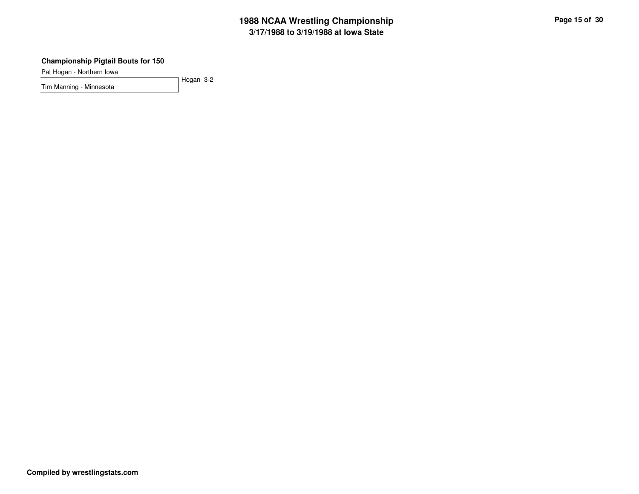### **Championship Pigtail Bouts for 150**

Pat Hogan - Northern Iowa

Hogan 3-2Tim Manning - Minnesota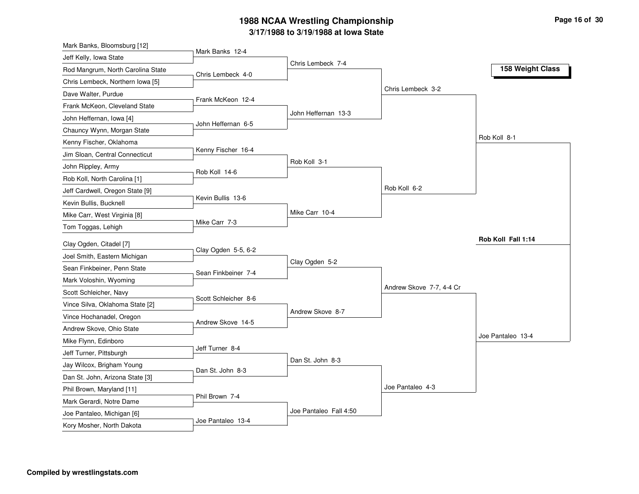| Mark Banks, Bloomsburg [12]       |                      |                        |                          |                    |
|-----------------------------------|----------------------|------------------------|--------------------------|--------------------|
| Jeff Kelly, Iowa State            | Mark Banks 12-4      |                        |                          |                    |
| Rod Mangrum, North Carolina State | Chris Lembeck 4-0    | Chris Lembeck 7-4      |                          | 158 Weight Class   |
| Chris Lembeck, Northern Iowa [5]  |                      |                        |                          |                    |
| Dave Walter, Purdue               |                      |                        | Chris Lembeck 3-2        |                    |
| Frank McKeon, Cleveland State     | Frank McKeon 12-4    |                        |                          |                    |
| John Heffernan, Iowa [4]          |                      | John Heffernan 13-3    |                          |                    |
| Chauncy Wynn, Morgan State        | John Heffernan 6-5   |                        |                          |                    |
| Kenny Fischer, Oklahoma           |                      |                        |                          | Rob Koll 8-1       |
| Jim Sloan, Central Connecticut    | Kenny Fischer 16-4   |                        |                          |                    |
| John Rippley, Army                |                      | Rob Koll 3-1           |                          |                    |
| Rob Koll, North Carolina [1]      | Rob Koll 14-6        |                        |                          |                    |
| Jeff Cardwell, Oregon State [9]   |                      |                        | Rob Koll 6-2             |                    |
| Kevin Bullis, Bucknell            | Kevin Bullis 13-6    |                        |                          |                    |
| Mike Carr, West Virginia [8]      |                      | Mike Carr 10-4         |                          |                    |
| Tom Toggas, Lehigh                | Mike Carr 7-3        |                        |                          |                    |
| Clay Ogden, Citadel [7]           |                      |                        |                          | Rob Koll Fall 1:14 |
| Joel Smith, Eastern Michigan      | Clay Ogden 5-5, 6-2  |                        |                          |                    |
| Sean Finkbeiner, Penn State       |                      | Clay Ogden 5-2         |                          |                    |
| Mark Voloshin, Wyoming            | Sean Finkbeiner 7-4  |                        |                          |                    |
| Scott Schleicher, Navy            |                      |                        | Andrew Skove 7-7, 4-4 Cr |                    |
| Vince Silva, Oklahoma State [2]   | Scott Schleicher 8-6 |                        |                          |                    |
| Vince Hochanadel, Oregon          |                      | Andrew Skove 8-7       |                          |                    |
| Andrew Skove, Ohio State          | Andrew Skove 14-5    |                        |                          |                    |
| Mike Flynn, Edinboro              |                      |                        |                          | Joe Pantaleo 13-4  |
| Jeff Turner, Pittsburgh           | Jeff Turner 8-4      |                        |                          |                    |
| Jay Wilcox, Brigham Young         |                      | Dan St. John 8-3       |                          |                    |
| Dan St. John, Arizona State [3]   | Dan St. John 8-3     |                        |                          |                    |
| Phil Brown, Maryland [11]         |                      |                        | Joe Pantaleo 4-3         |                    |
| Mark Gerardi, Notre Dame          | Phil Brown 7-4       |                        |                          |                    |
| Joe Pantaleo, Michigan [6]        |                      | Joe Pantaleo Fall 4:50 |                          |                    |
| Kory Mosher, North Dakota         | Joe Pantaleo 13-4    |                        |                          |                    |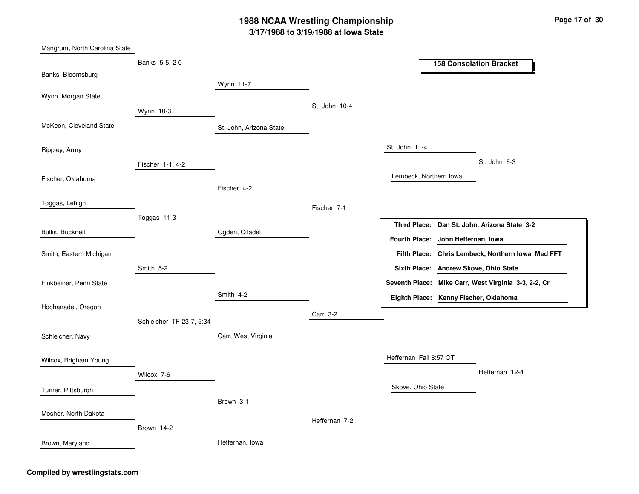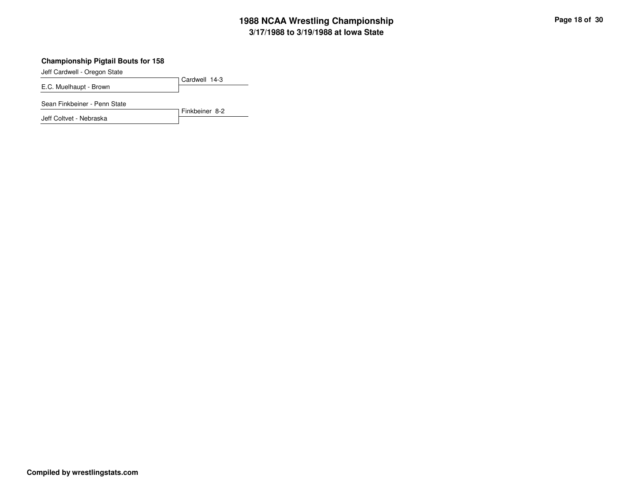### **Championship Pigtail Bouts for 158**

Jeff Cardwell - Oregon State

Cardwell 14-3E.C. Muelhaupt - Brown

Sean Finkbeiner - Penn State

Jeff Coltvet - Nebraska

Finkbeiner 8-2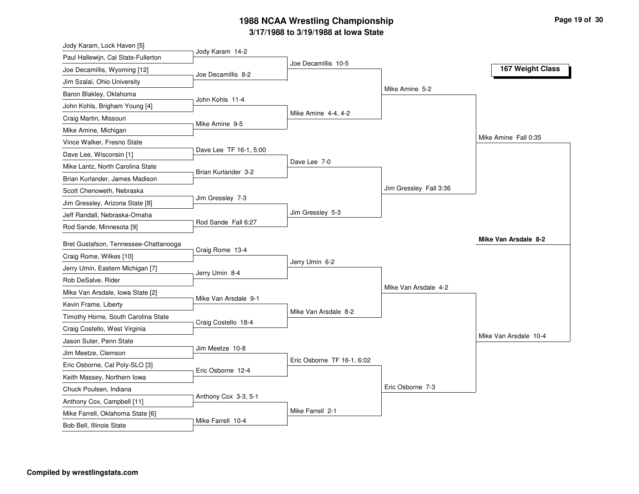| Jody Karam, Lock Haven [5]                                   |                        |                            |                        |                       |
|--------------------------------------------------------------|------------------------|----------------------------|------------------------|-----------------------|
| Paul Hallewijn, Cal State-Fullerton                          | Jody Karam 14-2        | Joe Decamillis 10-5        |                        |                       |
| Joe Decamillis, Wyoming [12]                                 | Joe Decamillis 8-2     |                            |                        | 167 Weight Class      |
| Jim Szalai, Ohio University                                  |                        |                            |                        |                       |
| Baron Blakley, Oklahoma                                      |                        |                            | Mike Amine 5-2         |                       |
| John Kohls, Brigham Young [4]                                | John Kohls 11-4        |                            |                        |                       |
| Craig Martin, Missouri                                       |                        | Mike Amine 4-4, 4-2        |                        |                       |
| Mike Amine, Michigan                                         | Mike Amine 9-5         |                            |                        |                       |
| Vince Walker, Fresno State                                   |                        |                            |                        | Mike Amine Fall 0:35  |
| Dave Lee, Wisconsin [1]                                      | Dave Lee TF 16-1, 5:00 |                            |                        |                       |
| Mike Lantz, North Carolina State                             |                        | Dave Lee 7-0               |                        |                       |
| Brian Kurlander, James Madison                               | Brian Kurlander 3-2    |                            |                        |                       |
| Scott Chenoweth, Nebraska                                    |                        |                            | Jim Gressley Fall 3:36 |                       |
| Jim Gressley, Arizona State [8]                              | Jim Gressley 7-3       |                            |                        |                       |
| Jeff Randall, Nebraska-Omaha                                 |                        | Jim Gressley 5-3           |                        |                       |
| Rod Sande, Minnesota [9]                                     | Rod Sande Fall 6:27    |                            |                        |                       |
|                                                              |                        |                            |                        | Mike Van Arsdale 8-2  |
|                                                              |                        |                            |                        |                       |
| Bret Gustafson, Tennessee-Chattanooga                        | Craig Rome 13-4        |                            |                        |                       |
| Craig Rome, Wilkes [10]                                      |                        | Jerry Umin 6-2             |                        |                       |
| Jerry Umin, Eastern Michigan [7]                             | Jerry Umin 8-4         |                            |                        |                       |
| Rob DeSalve, Rider                                           |                        |                            | Mike Van Arsdale 4-2   |                       |
| Mike Van Arsdale, Iowa State [2]                             | Mike Van Arsdale 9-1   |                            |                        |                       |
| Kevin Frame, Liberty                                         |                        | Mike Van Arsdale 8-2       |                        |                       |
| Timothy Horne, South Carolina State                          | Craig Costello 18-4    |                            |                        |                       |
| Craig Costello, West Virginia                                |                        |                            |                        | Mike Van Arsdale 10-4 |
| Jason Suter, Penn State                                      | Jim Meetze 10-8        |                            |                        |                       |
| Jim Meetze, Clemson                                          |                        | Eric Osborne TF 16-1, 6:02 |                        |                       |
| Eric Osborne, Cal Poly-SLO [3]                               | Eric Osborne 12-4      |                            |                        |                       |
| Keith Massey, Northern Iowa                                  |                        |                            |                        |                       |
| Chuck Poulsen, Indiana                                       |                        |                            | Eric Osborne 7-3       |                       |
| Anthony Cox, Campbell [11]                                   | Anthony Cox 3-3, 5-1   |                            |                        |                       |
| Mike Farrell, Oklahoma State [6]<br>Bob Bell, Illinois State | Mike Farrell 10-4      | Mike Farrell 2-1           |                        |                       |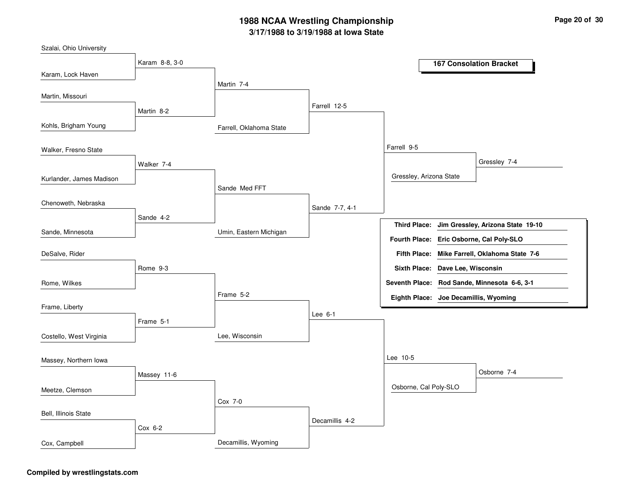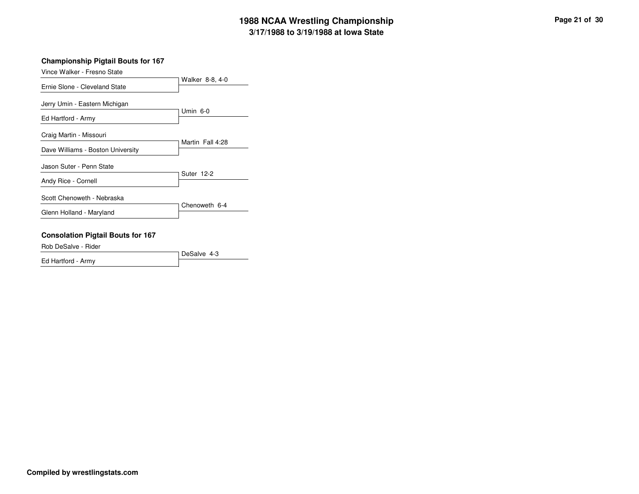### **Championship Pigtail Bouts for 167**

|  | Vince Walker - Fresno State |  |  |
|--|-----------------------------|--|--|
|--|-----------------------------|--|--|

|                                                              | Walker 8-8, 4-0  |
|--------------------------------------------------------------|------------------|
| Ernie Slone - Cleveland State                                |                  |
| Jerry Umin - Eastern Michigan                                | Umin 6-0         |
| Ed Hartford - Army                                           |                  |
| Craig Martin - Missouri<br>Dave Williams - Boston University | Martin Fall 4:28 |
| Jason Suter - Penn State                                     | Suter 12-2       |
| Andy Rice - Cornell                                          |                  |
| Scott Chenoweth - Nebraska                                   | Chenoweth 6-4    |
| Glenn Holland - Maryland                                     |                  |

### **Consolation Pigtail Bouts for 167**

Rob DeSalve - Rider

|                    | l DeSalve 4-3 |
|--------------------|---------------|
| Ed Hartford - Army |               |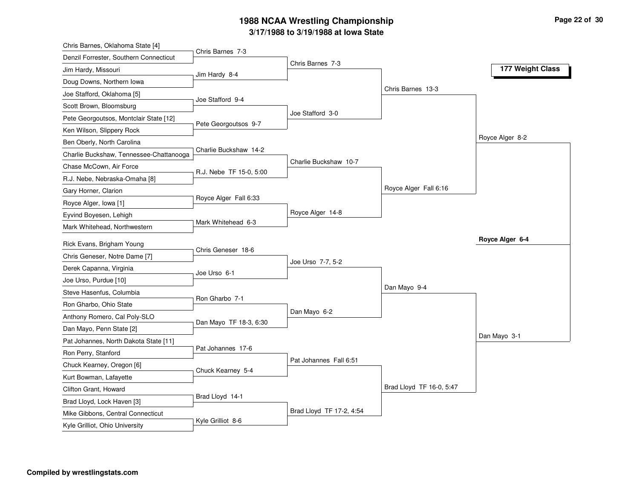| Chris Barnes 7-3<br>Denzil Forrester, Southern Connecticut<br>Jim Hardy, Missouri<br>Jim Hardy 8-4<br>Doug Downs, Northern Iowa<br>Joe Stafford, Oklahoma [5]<br>Joe Stafford 9-4<br>Scott Brown, Bloomsburg<br>Pete Georgoutsos, Montclair State [12]<br>Pete Georgoutsos 9-7<br>Ken Wilson, Slippery Rock<br>Ben Oberly, North Carolina<br>Charlie Buckshaw 14-2<br>Charlie Buckshaw, Tennessee-Chattanooga<br>Chase McCown, Air Force<br>R.J. Nebe TF 15-0, 5:00<br>R.J. Nebe, Nebraska-Omaha [8]<br>Gary Horner, Clarion<br>Royce Alger Fall 6:33<br>Royce Alger, Iowa [1]<br>Eyvind Boyesen, Lehigh<br>Mark Whitehead 6-3<br>Mark Whitehead, Northwestern | Chris Barnes 7-3<br>177 Weight Class<br>Chris Barnes 13-3 |
|----------------------------------------------------------------------------------------------------------------------------------------------------------------------------------------------------------------------------------------------------------------------------------------------------------------------------------------------------------------------------------------------------------------------------------------------------------------------------------------------------------------------------------------------------------------------------------------------------------------------------------------------------------------|-----------------------------------------------------------|
|                                                                                                                                                                                                                                                                                                                                                                                                                                                                                                                                                                                                                                                                |                                                           |
|                                                                                                                                                                                                                                                                                                                                                                                                                                                                                                                                                                                                                                                                |                                                           |
|                                                                                                                                                                                                                                                                                                                                                                                                                                                                                                                                                                                                                                                                |                                                           |
|                                                                                                                                                                                                                                                                                                                                                                                                                                                                                                                                                                                                                                                                |                                                           |
|                                                                                                                                                                                                                                                                                                                                                                                                                                                                                                                                                                                                                                                                |                                                           |
|                                                                                                                                                                                                                                                                                                                                                                                                                                                                                                                                                                                                                                                                | Joe Stafford 3-0                                          |
|                                                                                                                                                                                                                                                                                                                                                                                                                                                                                                                                                                                                                                                                |                                                           |
|                                                                                                                                                                                                                                                                                                                                                                                                                                                                                                                                                                                                                                                                | Royce Alger 8-2                                           |
|                                                                                                                                                                                                                                                                                                                                                                                                                                                                                                                                                                                                                                                                |                                                           |
|                                                                                                                                                                                                                                                                                                                                                                                                                                                                                                                                                                                                                                                                | Charlie Buckshaw 10-7                                     |
|                                                                                                                                                                                                                                                                                                                                                                                                                                                                                                                                                                                                                                                                |                                                           |
|                                                                                                                                                                                                                                                                                                                                                                                                                                                                                                                                                                                                                                                                | Royce Alger Fall 6:16                                     |
|                                                                                                                                                                                                                                                                                                                                                                                                                                                                                                                                                                                                                                                                |                                                           |
|                                                                                                                                                                                                                                                                                                                                                                                                                                                                                                                                                                                                                                                                | Royce Alger 14-8                                          |
|                                                                                                                                                                                                                                                                                                                                                                                                                                                                                                                                                                                                                                                                |                                                           |
| Rick Evans, Brigham Young                                                                                                                                                                                                                                                                                                                                                                                                                                                                                                                                                                                                                                      | Royce Alger 6-4                                           |
| Chris Geneser 18-6<br>Chris Geneser, Notre Dame [7]                                                                                                                                                                                                                                                                                                                                                                                                                                                                                                                                                                                                            |                                                           |
| Derek Capanna, Virginia                                                                                                                                                                                                                                                                                                                                                                                                                                                                                                                                                                                                                                        | Joe Urso 7-7, 5-2                                         |
| Joe Urso 6-1<br>Joe Urso, Purdue [10]                                                                                                                                                                                                                                                                                                                                                                                                                                                                                                                                                                                                                          |                                                           |
| Steve Hasenfus, Columbia                                                                                                                                                                                                                                                                                                                                                                                                                                                                                                                                                                                                                                       | Dan Mayo 9-4                                              |
| Ron Gharbo 7-1<br>Ron Gharbo, Ohio State                                                                                                                                                                                                                                                                                                                                                                                                                                                                                                                                                                                                                       |                                                           |
| Anthony Romero, Cal Poly-SLO                                                                                                                                                                                                                                                                                                                                                                                                                                                                                                                                                                                                                                   | Dan Mayo 6-2                                              |
| Dan Mayo TF 18-3, 6:30<br>Dan Mayo, Penn State [2]                                                                                                                                                                                                                                                                                                                                                                                                                                                                                                                                                                                                             |                                                           |
| Pat Johannes, North Dakota State [11]                                                                                                                                                                                                                                                                                                                                                                                                                                                                                                                                                                                                                          | Dan Mayo 3-1                                              |
| Pat Johannes 17-6<br>Ron Perry, Stanford                                                                                                                                                                                                                                                                                                                                                                                                                                                                                                                                                                                                                       |                                                           |
| Chuck Kearney, Oregon [6]                                                                                                                                                                                                                                                                                                                                                                                                                                                                                                                                                                                                                                      | Pat Johannes Fall 6:51                                    |
| Chuck Kearney 5-4<br>Kurt Bowman, Lafayette                                                                                                                                                                                                                                                                                                                                                                                                                                                                                                                                                                                                                    |                                                           |
| Clifton Grant, Howard                                                                                                                                                                                                                                                                                                                                                                                                                                                                                                                                                                                                                                          | Brad Lloyd TF 16-0, 5:47                                  |
| Brad Lloyd 14-1<br>Brad Lloyd, Lock Haven [3]                                                                                                                                                                                                                                                                                                                                                                                                                                                                                                                                                                                                                  |                                                           |
| Mike Gibbons, Central Connecticut                                                                                                                                                                                                                                                                                                                                                                                                                                                                                                                                                                                                                              |                                                           |
| Kyle Grilliot 8-6<br>Kyle Grilliot, Ohio University                                                                                                                                                                                                                                                                                                                                                                                                                                                                                                                                                                                                            | Brad Lloyd TF 17-2, 4:54                                  |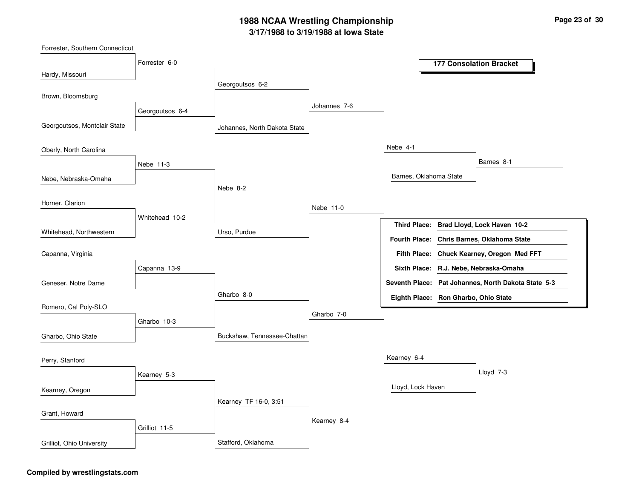Johannes, North Dakota StateUrso, PurdueBuckshaw, Tennessee-ChattanGeorgoutsos 6-2Nebe 8-2Gharbo 8-0Kearney TF 16-0, 3:51Johannes 7-6Nebe 11-0Gharbo 7-0Kearney 8-4Nebe 4-1Kearney 6-4Barnes, Oklahoma StateLloyd, Lock HavenBarnes 8-1Lloyd 7-3Forrester 6-0Georgoutsos 6-4Nebe 11-3Whitehead 10-2Capanna 13-9Gharbo 10-3Kearney 5-3Grilliot 11-5Hardy, MissouriGeorgoutsos, Montclair StateNebe, Nebraska-OmahaWhitehead, NorthwesternBrown, BloomsburgOberly, North CarolinaHorner, ClarionGeneser, Notre DameCapanna, VirginiaRomero, Cal Poly-SLOGharbo, Ohio StateKearney, OregonPerry, StanfordGrant, Howard**177 Consolation BracketBrad Lloyd, Lock Haven 10-2Third Place:Fifth Place: Chuck Kearney, Oregon Med FFT Seventh Place: Pat Johannes, North Dakota State 5-3Eighth Place: Ron Gharbo, Ohio StateFourth Place: Chris Barnes, Oklahoma StateSixth Place: R.J. Nebe, Nebraska-Omaha**

Stafford, Oklahoma

#### **Compiled by wrestlingstats.com**

Grilliot, Ohio University

Forrester, Southern Connecticut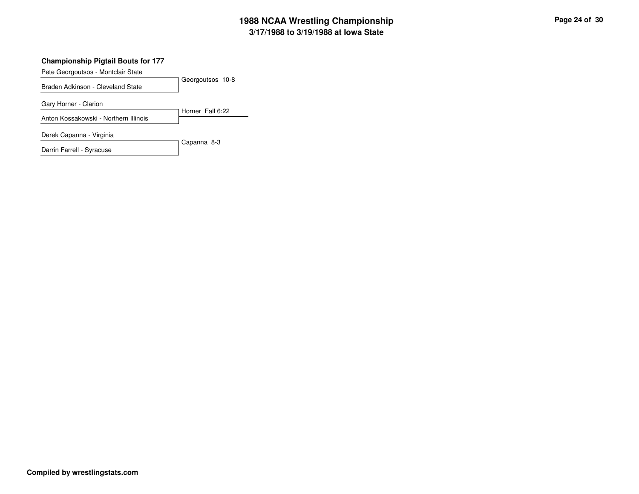### **Championship Pigtail Bouts for 177**

Pete Georgoutsos - Montclair State

|                                       | Georgoutsos 10-8 |
|---------------------------------------|------------------|
| Braden Adkinson - Cleveland State     |                  |
| Gary Horner - Clarion                 |                  |
| Anton Kossakowski - Northern Illinois | Horner Fall 6:22 |
| Derek Capanna - Virginia              |                  |

Darrin Farrell - Syracuse

Capanna 8-3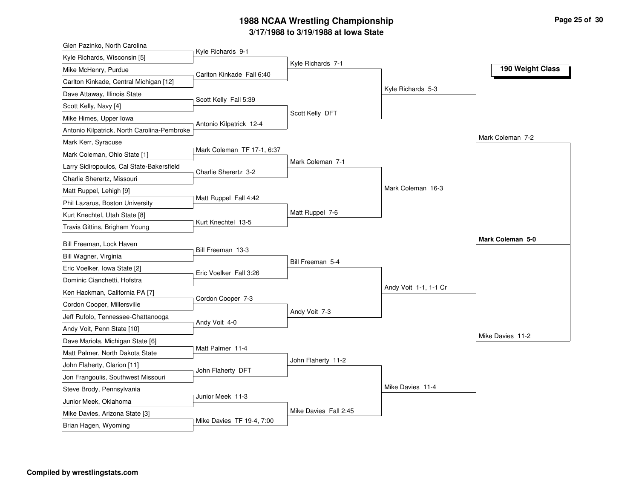| Glen Pazinko, North Carolina                | Kyle Richards 9-1          |                       |                       |                  |
|---------------------------------------------|----------------------------|-----------------------|-----------------------|------------------|
| Kyle Richards, Wisconsin [5]                |                            | Kyle Richards 7-1     |                       |                  |
| Mike McHenry, Purdue                        | Carlton Kinkade Fall 6:40  |                       |                       | 190 Weight Class |
| Carlton Kinkade, Central Michigan [12]      |                            |                       |                       |                  |
| Dave Attaway, Illinois State                | Scott Kelly Fall 5:39      |                       | Kyle Richards 5-3     |                  |
| Scott Kelly, Navy [4]                       |                            |                       |                       |                  |
| Mike Himes, Upper Iowa                      | Antonio Kilpatrick 12-4    | Scott Kelly DFT       |                       |                  |
| Antonio Kilpatrick, North Carolina-Pembroke |                            |                       |                       |                  |
| Mark Kerr, Syracuse                         |                            |                       |                       | Mark Coleman 7-2 |
| Mark Coleman, Ohio State [1]                | Mark Coleman TF 17-1, 6:37 |                       |                       |                  |
| Larry Sidiropoulos, Cal State-Bakersfield   | Charlie Sherertz 3-2       | Mark Coleman 7-1      |                       |                  |
| Charlie Sherertz, Missouri                  |                            |                       |                       |                  |
| Matt Ruppel, Lehigh [9]                     |                            |                       | Mark Coleman 16-3     |                  |
| Phil Lazarus, Boston University             | Matt Ruppel Fall 4:42      |                       |                       |                  |
| Kurt Knechtel, Utah State [8]               |                            | Matt Ruppel 7-6       |                       |                  |
| Travis Gittins, Brigham Young               | Kurt Knechtel 13-5         |                       |                       |                  |
| Bill Freeman, Lock Haven                    |                            |                       |                       | Mark Coleman 5-0 |
| Bill Wagner, Virginia                       | Bill Freeman 13-3          |                       |                       |                  |
| Eric Voelker, Iowa State [2]                |                            | Bill Freeman 5-4      |                       |                  |
| Dominic Cianchetti, Hofstra                 | Eric Voelker Fall 3:26     |                       |                       |                  |
| Ken Hackman, California PA [7]              |                            |                       | Andy Voit 1-1, 1-1 Cr |                  |
| Cordon Cooper, Millersville                 | Cordon Cooper 7-3          |                       |                       |                  |
| Jeff Rufolo, Tennessee-Chattanooga          |                            | Andy Voit 7-3         |                       |                  |
| Andy Voit, Penn State [10]                  | Andy Voit 4-0              |                       |                       |                  |
| Dave Mariola, Michigan State [6]            |                            |                       |                       | Mike Davies 11-2 |
| Matt Palmer, North Dakota State             | Matt Palmer 11-4           |                       |                       |                  |
| John Flaherty, Clarion [11]                 |                            | John Flaherty 11-2    |                       |                  |
| Jon Frangoulis, Southwest Missouri          | John Flaherty DFT          |                       |                       |                  |
| Steve Brody, Pennsylvania                   |                            |                       | Mike Davies 11-4      |                  |
| Junior Meek, Oklahoma                       | Junior Meek 11-3           |                       |                       |                  |
| Mike Davies, Arizona State [3]              |                            | Mike Davies Fall 2:45 |                       |                  |
| Brian Hagen, Wyoming                        | Mike Davies TF 19-4, 7:00  |                       |                       |                  |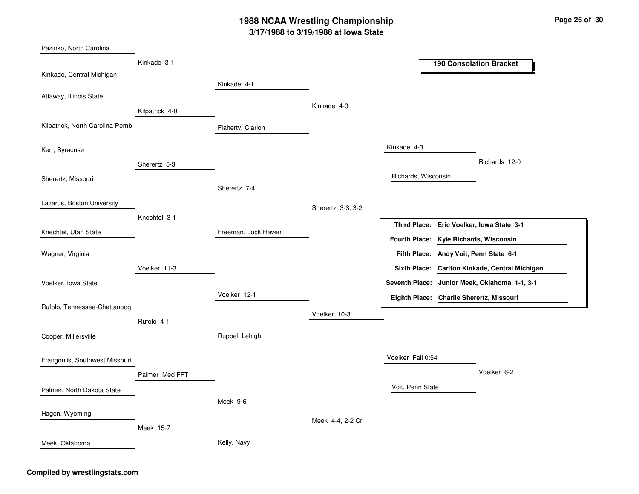Flaherty, ClarionFreeman, Lock HavenRuppel, LehighKelly, NavyKinkade 4-1Sherertz 7-4Voelker 12-1Meek 9-6Kinkade 4-3Sherertz 3-3, 3-2Voelker 10-3Meek 4-4, 2-2 CrKinkade 4-3Voelker Fall 0:54Richards, WisconsinVoit, Penn StateRichards 12-0Voelker 6-2Kinkade 3-1Kilpatrick 4-0Sherertz 5-3Knechtel 3-1Voelker 11-3Rufolo 4-1Palmer Med FFTMeek 15-7Kinkade, Central MichiganKilpatrick, North Carolina-PembSherertz, MissouriKnechtel, Utah StatePazinko, North CarolinaAttaway, Illinois StateKerr, SyracuseLazarus, Boston UniversityVoelker, Iowa StateWagner, VirginiaRufolo, Tennessee-ChattanoogCooper, MillersvillePalmer, North Dakota StateFrangoulis, Southwest MissouriHagen, WyomingMeek, Oklahoma**190 Consolation BracketEric Voelker, Iowa State 3-1Third Place:Andy Voit, Penn State 6-1Fifth Place:Seventh Place: Junior Meek, Oklahoma 1-1, 3-1Eighth Place: Charlie Sherertz, Missouri Fourth Place: Kyle Richards, WisconsinSixth Place: Carlton Kinkade, Central Michigan**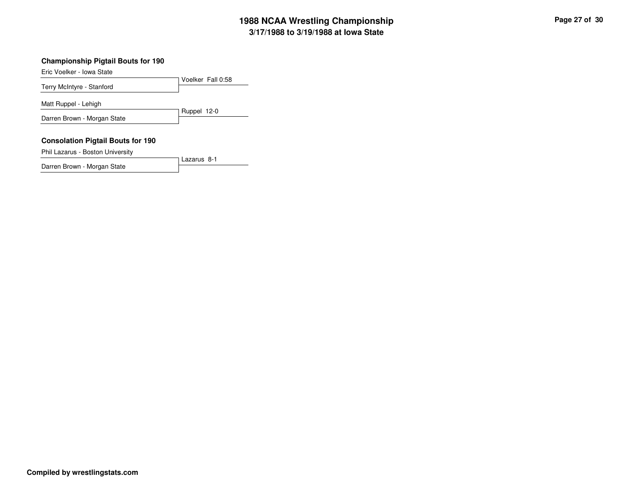### **Championship Pigtail Bouts for 190**

Eric Voelker - Iowa State

Voelker Fall 0:58Terry McIntyre - StanfordRuppel 12-0Matt Ruppel - LehighDarren Brown - Morgan State**Consolation Pigtail Bouts for 190**

Lazarus 8-1

Phil Lazarus - Boston University

Darren Brown - Morgan State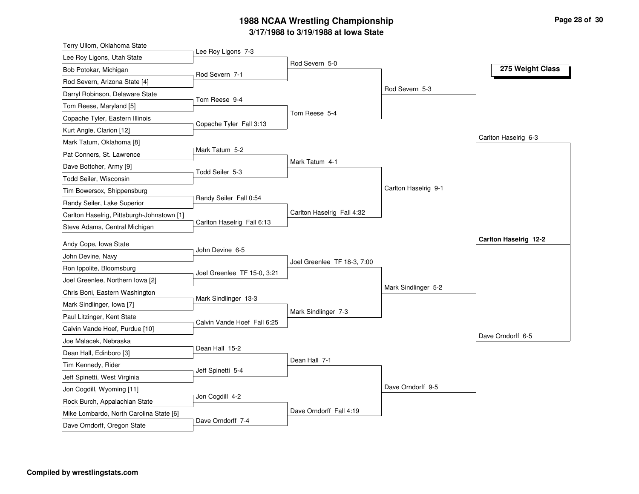| Terry Ullom, Oklahoma State                |                             |                             |                      |                              |
|--------------------------------------------|-----------------------------|-----------------------------|----------------------|------------------------------|
| Lee Roy Ligons, Utah State                 | Lee Roy Ligons 7-3          |                             |                      |                              |
| Bob Potokar, Michigan                      | Rod Severn 7-1              | Rod Severn 5-0              |                      | 275 Weight Class             |
| Rod Severn, Arizona State [4]              |                             |                             |                      |                              |
| Darryl Robinson, Delaware State            |                             |                             | Rod Severn 5-3       |                              |
| Tom Reese, Maryland [5]                    | Tom Reese 9-4               |                             |                      |                              |
| Copache Tyler, Eastern Illinois            |                             | Tom Reese 5-4               |                      |                              |
| Kurt Angle, Clarion [12]                   | Copache Tyler Fall 3:13     |                             |                      |                              |
| Mark Tatum, Oklahoma [8]                   |                             |                             |                      | Carlton Haselrig 6-3         |
| Pat Conners, St. Lawrence                  | Mark Tatum 5-2              |                             |                      |                              |
| Dave Bottcher, Army [9]                    |                             | Mark Tatum 4-1              |                      |                              |
| Todd Seiler, Wisconsin                     | Todd Seiler 5-3             |                             |                      |                              |
| Tim Bowersox, Shippensburg                 |                             |                             | Carlton Haselrig 9-1 |                              |
| Randy Seiler, Lake Superior                | Randy Seiler Fall 0:54      |                             |                      |                              |
| Carlton Haselrig, Pittsburgh-Johnstown [1] |                             | Carlton Haselrig Fall 4:32  |                      |                              |
| Steve Adams, Central Michigan              | Carlton Haselrig Fall 6:13  |                             |                      |                              |
| Andy Cope, Iowa State                      |                             |                             |                      | <b>Carlton Haselrig 12-2</b> |
| John Devine, Navy                          | John Devine 6-5             |                             |                      |                              |
| Ron Ippolite, Bloomsburg                   |                             | Joel Greenlee TF 18-3, 7:00 |                      |                              |
| Joel Greenlee, Northern Iowa [2]           | Joel Greenlee TF 15-0, 3:21 |                             |                      |                              |
| Chris Boni, Eastern Washington             |                             |                             | Mark Sindlinger 5-2  |                              |
| Mark Sindlinger, Iowa [7]                  | Mark Sindlinger 13-3        |                             |                      |                              |
| Paul Litzinger, Kent State                 |                             | Mark Sindlinger 7-3         |                      |                              |
| Calvin Vande Hoef, Purdue [10]             | Calvin Vande Hoef Fall 6:25 |                             |                      |                              |
| Joe Malacek, Nebraska                      |                             |                             |                      | Dave Orndorff 6-5            |
| Dean Hall, Edinboro [3]                    | Dean Hall 15-2              |                             |                      |                              |
| Tim Kennedy, Rider                         |                             | Dean Hall 7-1               |                      |                              |
| Jeff Spinetti, West Virginia               | Jeff Spinetti 5-4           |                             |                      |                              |
| Jon Cogdill, Wyoming [11]                  |                             |                             | Dave Orndorff 9-5    |                              |
| Rock Burch, Appalachian State              | Jon Cogdill 4-2             |                             |                      |                              |
|                                            |                             |                             |                      |                              |
| Mike Lombardo, North Carolina State [6]    |                             | Dave Orndorff Fall 4:19     |                      |                              |